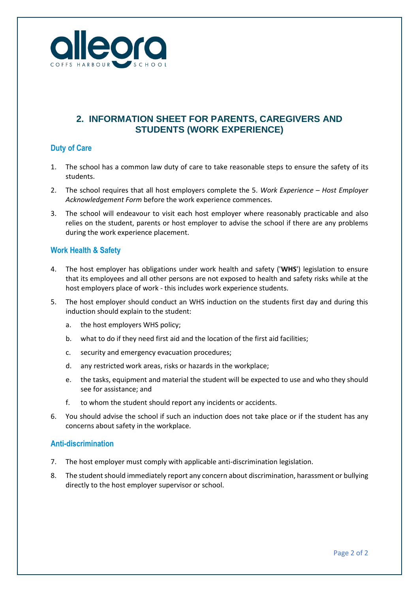

# **2. INFORMATION SHEET FOR PARENTS, CAREGIVERS AND STUDENTS (WORK EXPERIENCE)**

### **Duty of Care**

- 1. The school has a common law duty of care to take reasonable steps to ensure the safety of its students.
- 2. The school requires that all host employers complete the 5. *Work Experience – Host Employer Acknowledgement Form* before the work experience commences.
- 3. The school will endeavour to visit each host employer where reasonably practicable and also relies on the student, parents or host employer to advise the school if there are any problems during the work experience placement.

### **Work Health & Safety**

- 4. The host employer has obligations under work health and safety ('**WHS**') legislation to ensure that its employees and all other persons are not exposed to health and safety risks while at the host employers place of work - this includes work experience students.
- 5. The host employer should conduct an WHS induction on the students first day and during this induction should explain to the student:
	- a. the host employers WHS policy;
	- b. what to do if they need first aid and the location of the first aid facilities;
	- c. security and emergency evacuation procedures;
	- d. any restricted work areas, risks or hazards in the workplace;
	- e. the tasks, equipment and material the student will be expected to use and who they should see for assistance; and
	- f. to whom the student should report any incidents or accidents.
- 6. You should advise the school if such an induction does not take place or if the student has any concerns about safety in the workplace.

### **Anti-discrimination**

- 7. The host employer must comply with applicable anti-discrimination legislation.
- 8. The student should immediately report any concern about discrimination, harassment or bullying directly to the host employer supervisor or school.